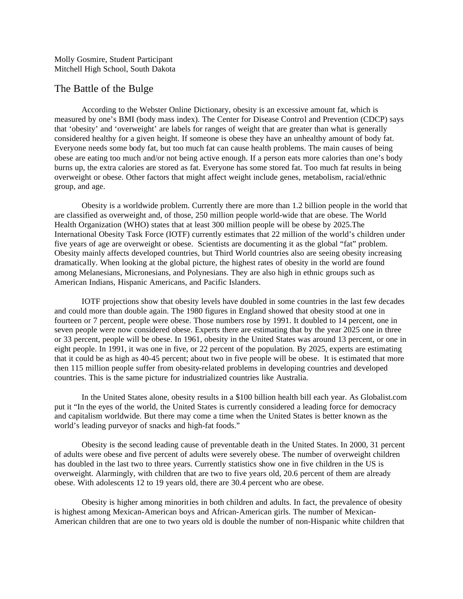Molly Gosmire, Student Participant Mitchell High School, South Dakota

## The Battle of the Bulge

According to the Webster Online Dictionary, obesity is an excessive amount fat, which is measured by one's BMI (body mass index). The Center for Disease Control and Prevention (CDCP) says that 'obesity' and 'overweight' are labels for ranges of weight that are greater than what is generally considered healthy for a given height. If someone is obese they have an unhealthy amount of body fat. Everyone needs some body fat, but too much fat can cause health problems. The main causes of being obese are eating too much and/or not being active enough. If a person eats more calories than one's body burns up, the extra calories are stored as fat. Everyone has some stored fat. Too much fat results in being overweight or obese. Other factors that might affect weight include genes, metabolism, racial/ethnic group, and age.

Obesity is a worldwide problem. Currently there are more than 1.2 billion people in the world that are classified as overweight and, of those, 250 million people world-wide that are obese. The World Health Organization (WHO) states that at least 300 million people will be obese by 2025.The International Obesity Task Force (IOTF) currently estimates that 22 million of the world's children under five years of age are overweight or obese. Scientists are documenting it as the global "fat" problem. Obesity mainly affects developed countries, but Third World countries also are seeing obesity increasing dramatically. When looking at the global picture, the highest rates of obesity in the world are found among Melanesians, Micronesians, and Polynesians. They are also high in ethnic groups such as American Indians, Hispanic Americans, and Pacific Islanders.

IOTF projections show that obesity levels have doubled in some countries in the last few decades and could more than double again. The 1980 figures in England showed that obesity stood at one in fourteen or 7 percent, people were obese. Those numbers rose by 1991. It doubled to 14 percent, one in seven people were now considered obese. Experts there are estimating that by the year 2025 one in three or 33 percent, people will be obese. In 1961, obesity in the United States was around 13 percent, or one in eight people. In 1991, it was one in five, or 22 percent of the population. By 2025, experts are estimating that it could be as high as 40-45 percent; about two in five people will be obese. It is estimated that more then 115 million people suffer from obesity-related problems in developing countries and developed countries. This is the same picture for industrialized countries like Australia.

In the United States alone, obesity results in a \$100 billion health bill each year. As Globalist.com put it "In the eyes of the world, the United States is currently considered a leading force for democracy and capitalism worldwide. But there may come a time when the United States is better known as the world's leading purveyor of snacks and high-fat foods."

Obesity is the second leading cause of preventable death in the United States. In 2000, 31 percent of adults were obese and five percent of adults were severely obese. The number of overweight children has doubled in the last two to three years. Currently statistics show one in five children in the US is overweight. Alarmingly, with children that are two to five years old, 20.6 percent of them are already obese. With adolescents 12 to 19 years old, there are 30.4 percent who are obese.

Obesity is higher among minorities in both children and adults. In fact, the prevalence of obesity is highest among Mexican-American boys and African-American girls. The number of Mexican-American children that are one to two years old is double the number of non-Hispanic white children that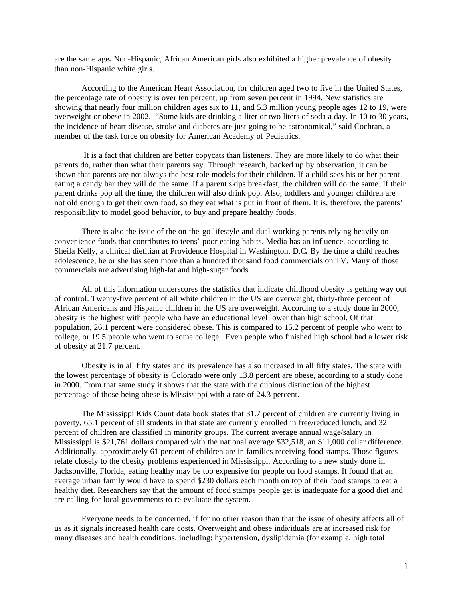are the same age*.* Non-Hispanic, African American girls also exhibited a higher prevalence of obesity than non-Hispanic white girls.

According to the American Heart Association, for children aged two to five in the United States, the percentage rate of obesity is over ten percent, up from seven percent in 1994. New statistics are showing that nearly four million children ages six to 11, and 5.3 million young people ages 12 to 19, were overweight or obese in 2002. "Some kids are drinking a liter or two liters of soda a day. In 10 to 30 years, the incidence of heart disease, stroke and diabetes are just going to be astronomical," said Cochran, a member of the task force on obesity for American Academy of Pediatrics.

 It is a fact that children are better copycats than listeners. They are more likely to do what their parents do, rather than what their parents say. Through research, backed up by observation, it can be shown that parents are not always the best role models for their children. If a child sees his or her parent eating a candy bar they will do the same. If a parent skips breakfast, the children will do the same. If their parent drinks pop all the time, the children will also drink pop. Also, toddlers and younger children are not old enough to get their own food, so they eat what is put in front of them. It is, therefore, the parents' responsibility to model good behavior, to buy and prepare healthy foods.

There is also the issue of the on-the-go lifestyle and dual-working parents relying heavily on convenience foods that contributes to teens' poor eating habits. Media has an influence, according to Sheila Kelly, a clinical dietitian at Providence Hospital in Washington, D.C**.** By the time a child reaches adolescence, he or she has seen more than a hundred thousand food commercials on TV. Many of those commercials are advertising high-fat and high-sugar foods.

All of this information underscores the statistics that indicate childhood obesity is getting way out of control. Twenty-five percent of all white children in the US are overweight, thirty-three percent of African Americans and Hispanic children in the US are overweight. According to a study done in 2000, obesity is the highest with people who have an educational level lower than high school. Of that population, 26.1 percent were considered obese. This is compared to 15.2 percent of people who went to college, or 19.5 people who went to some college. Even people who finished high school had a lower risk of obesity at 21.7 percent.

Obesity is in all fifty states and its prevalence has also increased in all fifty states. The state with the lowest percentage of obesity is Colorado were only 13.8 percent are obese, according to a study done in 2000. From that same study it shows that the state with the dubious distinction of the highest percentage of those being obese is Mississippi with a rate of 24.3 percent.

The Mississippi Kids Count data book states that 31.7 percent of children are currently living in poverty, 65.1 percent of all students in that state are currently enrolled in free/reduced lunch, and 32 percent of children are classified in minority groups. The current average annual wage/salary in Mississippi is \$21,761 dollars compared with the national average \$32,518, an \$11,000 dollar difference. Additionally, approximately 61 percent of children are in families receiving food stamps. Those figures relate closely to the obesity problems experienced in Mississippi. According to a new study done in Jacksonville, Florida, eating healthy may be too expensive for people on food stamps. It found that an average urban family would have to spend \$230 dollars each month on top of their food stamps to eat a healthy diet. Researchers say that the amount of food stamps people get is inadequate for a good diet and are calling for local governments to re-evaluate the system.

Everyone needs to be concerned, if for no other reason than that the issue of obesity affects all of us as it signals increased health care costs. Overweight and obese individuals are at increased risk for many diseases and health conditions, including: hypertension, dyslipidemia (for example, high total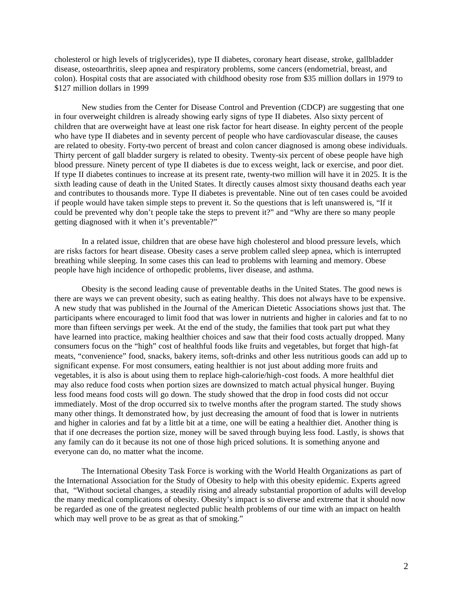cholesterol or high levels of triglycerides), type II diabetes, coronary heart disease, stroke, gallbladder disease, osteoarthritis, sleep apnea and respiratory problems, some cancers (endometrial, breast, and colon). Hospital costs that are associated with childhood obesity rose from \$35 million dollars in 1979 to \$127 million dollars in 1999

New studies from the Center for Disease Control and Prevention (CDCP) are suggesting that one in four overweight children is already showing early signs of type II diabetes. Also sixty percent of children that are overweight have at least one risk factor for heart disease. In eighty percent of the people who have type II diabetes and in seventy percent of people who have cardiovascular disease, the causes are related to obesity. Forty-two percent of breast and colon cancer diagnosed is among obese individuals. Thirty percent of gall bladder surgery is related to obesity. Twenty-six percent of obese people have high blood pressure. Ninety percent of type II diabetes is due to excess weight, lack or exercise, and poor diet. If type II diabetes continues to increase at its present rate, twenty-two million will have it in 2025. It is the sixth leading cause of death in the United States. It directly causes almost sixty thousand deaths each year and contributes to thousands more. Type II diabetes is preventable. Nine out of ten cases could be avoided if people would have taken simple steps to prevent it. So the questions that is left unanswered is, "If it could be prevented why don't people take the steps to prevent it?" and "Why are there so many people getting diagnosed with it when it's preventable?"

In a related issue, children that are obese have high cholesterol and blood pressure levels, which are risks factors for heart disease. Obesity cases a serve problem called sleep apnea, which is interrupted breathing while sleeping. In some cases this can lead to problems with learning and memory. Obese people have high incidence of orthopedic problems, liver disease, and asthma.

Obesity is the second leading cause of preventable deaths in the United States. The good news is there are ways we can prevent obesity, such as eating healthy. This does not always have to be expensive. A new study that was published in the Journal of the American Dietetic Associations shows just that. The participants where encouraged to limit food that was lower in nutrients and higher in calories and fat to no more than fifteen servings per week. At the end of the study, the families that took part put what they have learned into practice, making healthier choices and saw that their food costs actually dropped. Many consumers focus on the "high" cost of healthful foods like fruits and vegetables, but forget that high-fat meats, "convenience" food, snacks, bakery items, soft-drinks and other less nutritious goods can add up to significant expense. For most consumers, eating healthier is not just about adding more fruits and vegetables, it is also is about using them to replace high-calorie/high-cost foods. A more healthful diet may also reduce food costs when portion sizes are downsized to match actual physical hunger. Buying less food means food costs will go down. The study showed that the drop in food costs did not occur immediately. Most of the drop occurred six to twelve months after the program started. The study shows many other things. It demonstrated how, by just decreasing the amount of food that is lower in nutrients and higher in calories and fat by a little bit at a time, one will be eating a healthier diet. Another thing is that if one decreases the portion size, money will be saved through buying less food. Lastly, is shows that any family can do it because its not one of those high priced solutions. It is something anyone and everyone can do, no matter what the income.

The International Obesity Task Force is working with the World Health Organizations as part of the International Association for the Study of Obesity to help with this obesity epidemic. Experts agreed that, "Without societal changes, a steadily rising and already substantial proportion of adults will develop the many medical complications of obesity. Obesity's impact is so diverse and extreme that it should now be regarded as one of the greatest neglected public health problems of our time with an impact on health which may well prove to be as great as that of smoking."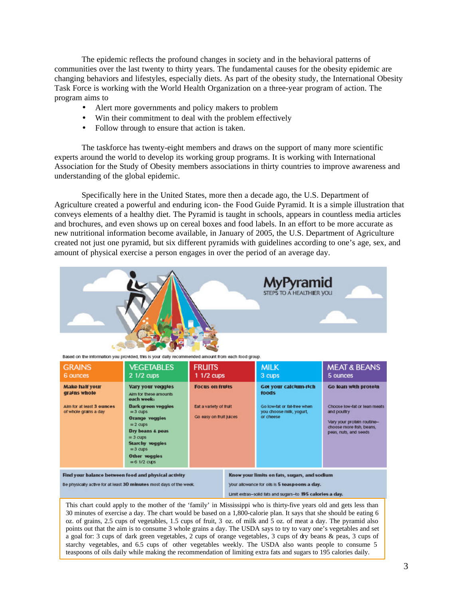The epidemic reflects the profound changes in society and in the behavioral patterns of communities over the last twenty to thirty years. The fundamental causes for the obesity epidemic are changing behaviors and lifestyles, especially diets. As part of the obesity study, the International Obesity Task Force is working with the World Health Organization on a three-year program of action. The program aims to

- Alert more governments and policy makers to problem
- Win their commitment to deal with the problem effectively
- Follow through to ensure that action is taken.

The taskforce has twenty-eight members and draws on the support of many more scientific experts around the world to develop its working group programs. It is working with International Association for the Study of Obesity members associations in thirty countries to improve awareness and understanding of the global epidemic.

Specifically here in the United States, more then a decade ago, the U.S. Department of Agriculture created a powerful and enduring icon- the Food Guide Pyramid. It is a simple illustration that conveys elements of a healthy diet. The Pyramid is taught in schools, appears in countless media articles and brochures, and even shows up on cereal boxes and food labels. In an effort to be more accurate as new nutritional information become available, in January of 2005, the U.S. Department of Agriculture created not just one pyramid, but six different pyramids with guidelines according to one's age, sex, and amount of physical exercise a person engages in over the period of an average day.



Based on the information you provided, this is your daily recommended amount from each food group.

| <b>GRAINS</b><br>6 ounces                                                                    | <b>VEGETABLES</b><br>2 1/2 cups                                                                                                                                                                                                                               | <b>FRUITS</b><br>1 1/2 cups                                                 | <b>MILK</b><br>3 cups                                                                                                                                      | <b>MEAT &amp; BEANS</b><br>5 ounces                                                                                                                    |
|----------------------------------------------------------------------------------------------|---------------------------------------------------------------------------------------------------------------------------------------------------------------------------------------------------------------------------------------------------------------|-----------------------------------------------------------------------------|------------------------------------------------------------------------------------------------------------------------------------------------------------|--------------------------------------------------------------------------------------------------------------------------------------------------------|
| <b>Make half your</b><br>grains whole<br>Aim for at least 3 ounces.<br>of whole grains a day | <b>Vary your veggles</b><br>Aim for these amounts<br>each week:<br>Dark green veggies<br>$=3$ cups<br><b>Orange veggies</b><br>$= 2$ cups<br>Dry beans & peas<br>$=$ 3 cups<br><b>Starchy veggles</b><br>$= 3$ cups<br><b>Other veggies</b><br>$= 6$ 1/2 cups | <b>Focus on fruits</b><br>Eat a variety of fruit<br>Go easy on fruit juices | Get your calcium-rich<br>foods<br>Go low-fat or fat-free when<br>you choose milk, yogurt,<br>or cheese                                                     | Go lean with protein<br>Choose low-fat or lean meats<br>and poultry<br>Vary your protein routine-<br>choose more fish, beans,<br>peas, nuts, and seeds |
|                                                                                              | Find your balance between food and physical activity<br>Be physically active for at least 30 minutes most days of the week.                                                                                                                                   |                                                                             | Know your limits on fats, sugars, and sodium<br>Your allowance for oils is 5 teaspoons a day.<br>Limit extras-solid fats and sugars-to 195 calories a day. |                                                                                                                                                        |

This chart could apply to the mother of the 'family' in Mississippi who is thirty-five years old and gets less than 30 minutes of exercise a day. The chart would be based on a 1,800-calorie plan. It says that she should be eating 6 oz. of grains, 2.5 cups of vegetables, 1.5 cups of fruit, 3 oz. of milk and 5 oz. of meat a day. The pyramid also points out that the aim is to consume 3 whole grains a day. The USDA says to try to vary one's vegetables and set a goal for: 3 cups of dark green vegetables, 2 cups of orange vegetables, 3 cups of dry beans & peas, 3 cups of starchy vegetables, and 6.5 cups of other vegetables weekly. The USDA also wants people to consume 5 teaspoons of oils daily while making the recommendation of limiting extra fats and sugars to 195 calories daily.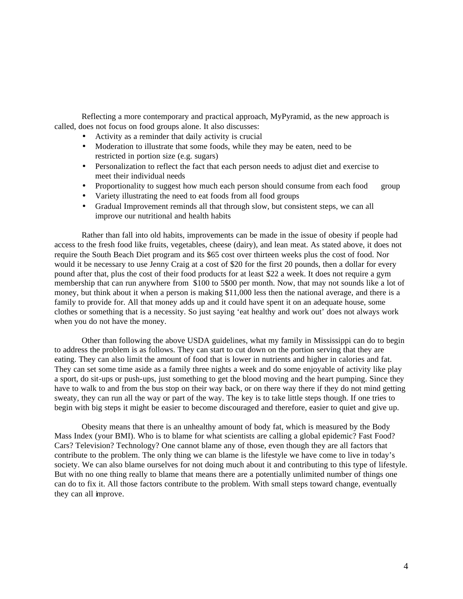Reflecting a more contemporary and practical approach, MyPyramid, as the new approach is called, does not focus on food groups alone. It also discusses:

- Activity as a reminder that daily activity is crucial
- Moderation to illustrate that some foods, while they may be eaten, need to be restricted in portion size (e.g. sugars)
- Personalization to reflect the fact that each person needs to adjust diet and exercise to meet their individual needs
- Proportionality to suggest how much each person should consume from each food group
- Variety illustrating the need to eat foods from all food groups
- Gradual Improvement reminds all that through slow, but consistent steps, we can all improve our nutritional and health habits

Rather than fall into old habits, improvements can be made in the issue of obesity if people had access to the fresh food like fruits, vegetables, cheese (dairy), and lean meat. As stated above, it does not require the South Beach Diet program and its \$65 cost over thirteen weeks plus the cost of food. Nor would it be necessary to use Jenny Craig at a cost of \$20 for the first 20 pounds, then a dollar for every pound after that, plus the cost of their food products for at least \$22 a week. It does not require a gym membership that can run anywhere from \$100 to 5\$00 per month. Now, that may not sounds like a lot of money, but think about it when a person is making \$11,000 less then the national average, and there is a family to provide for. All that money adds up and it could have spent it on an adequate house, some clothes or something that is a necessity. So just saying 'eat healthy and work out' does not always work when you do not have the money.

Other than following the above USDA guidelines, what my family in Mississippi can do to begin to address the problem is as follows. They can start to cut down on the portion serving that they are eating. They can also limit the amount of food that is lower in nutrients and higher in calories and fat. They can set some time aside as a family three nights a week and do some enjoyable of activity like play a sport, do sit-ups or push-ups, just something to get the blood moving and the heart pumping. Since they have to walk to and from the bus stop on their way back, or on there way there if they do not mind getting sweaty, they can run all the way or part of the way. The key is to take little steps though. If one tries to begin with big steps it might be easier to become discouraged and therefore, easier to quiet and give up.

Obesity means that there is an unhealthy amount of body fat, which is measured by the Body Mass Index (your BMI). Who is to blame for what scientists are calling a global epidemic? Fast Food? Cars? Television? Technology? One cannot blame any of those, even though they are all factors that contribute to the problem. The only thing we can blame is the lifestyle we have come to live in today's society. We can also blame ourselves for not doing much about it and contributing to this type of lifestyle. But with no one thing really to blame that means there are a potentially unlimited number of things one can do to fix it. All those factors contribute to the problem. With small steps toward change, eventually they can all improve.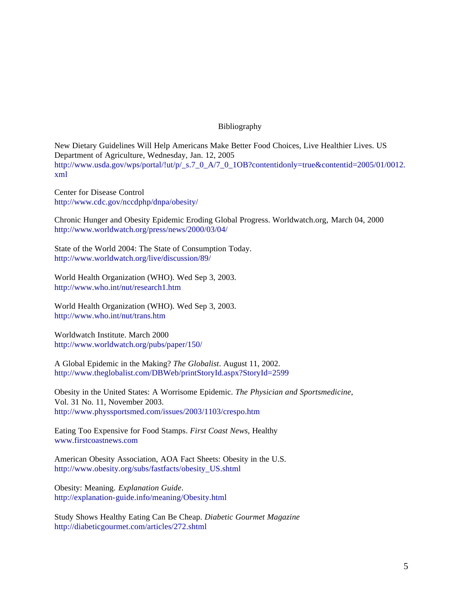## Bibliography

New Dietary Guidelines Will Help Americans Make Better Food Choices, Live Healthier Lives. US Department of Agriculture, Wednesday, Jan. 12, 2005 http://www.usda.gov/wps/portal/!ut/p/\_s.7\_0\_A/7\_0\_1OB?contentidonly=true&contentid=2005/01/0012. xml

Center for Disease Control http://www.cdc.gov/nccdphp/dnpa/obesity/

Chronic Hunger and Obesity Epidemic Eroding Global Progress. Worldwatch.org, March 04, 2000 http://www.worldwatch.org/press/news/2000/03/04/

State of the World 2004: The State of Consumption Today. http://www.worldwatch.org/live/discussion/89/

World Health Organization (WHO). Wed Sep 3, 2003. http://www.who.int/nut/research1.htm

World Health Organization (WHO). Wed Sep 3, 2003. http://www.who.int/nut/trans.htm

Worldwatch Institute. March 2000 http://www.worldwatch.org/pubs/paper/150/

A Global Epidemic in the Making? *The Globalist*. August 11, 2002. http://www.theglobalist.com/DBWeb/printStoryId.aspx?StoryId=2599

Obesity in the United States: A Worrisome Epidemic. *The Physician and Sportsmedicine*, Vol. 31 No. 11, November 2003. http://www.physsportsmed.com/issues/2003/1103/crespo.htm

Eating Too Expensive for Food Stamps. *First Coast News,* Healthy www.firstcoastnews.com

American Obesity Association, AOA Fact Sheets: Obesity in the U.S. http://www.obesity.org/subs/fastfacts/obesity\_US.shtml

Obesity: Meaning. *Explanation Guide*. http://explanation-guide.info/meaning/Obesity.html

Study Shows Healthy Eating Can Be Cheap. *Diabetic Gourmet Magazine* http://diabeticgourmet.com/articles/272.shtml